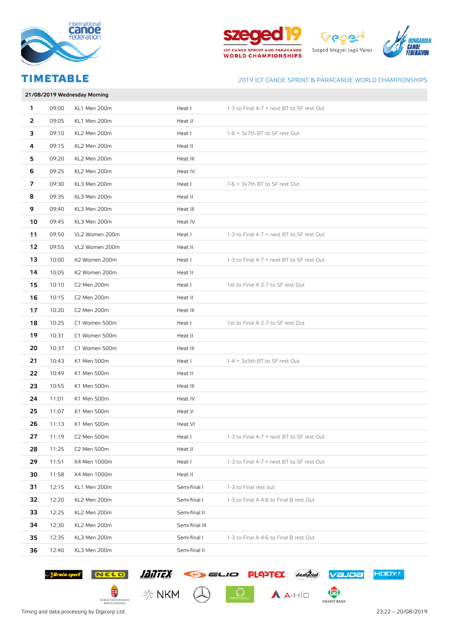





|    | 21/08/2019 Wednesday Morning |                |                |                                           |  |
|----|------------------------------|----------------|----------------|-------------------------------------------|--|
| 1  | 09:00                        | KL1 Men 200m   | Heat I         | 1-3 to Final 4-7 + next BT to SF rest Out |  |
| 2  | 09:05                        | KL1 Men 200m   | Heat II        |                                           |  |
| з  | 09:10                        | KL2 Men 200m   | Heat I         | 1-6 + 3x7th BT to SF rest Out             |  |
| 4  | 09:15                        | KL2 Men 200m   | Heat II        |                                           |  |
| 5  | 09:20                        | KL2 Men 200m   | Heat III       |                                           |  |
| 6  | 09:25                        | KL2 Men 200m   | Heat IV        |                                           |  |
| 7  | 09:30                        | KL3 Men 200m   | Heat I         | 1-6 + 3x7th BT to SF rest Out             |  |
| 8  | 09:35                        | KL3 Men 200m   | Heat II        |                                           |  |
| 9  | 09:40                        | KL3 Men 200m   | Heat III       |                                           |  |
| 10 | 09:45                        | KL3 Men 200m   | Heat IV        |                                           |  |
| 11 | 09:50                        | VL2 Women 200m | Heat I         | 1-3 to Final 4-7 + next BT to SF rest Out |  |
| 12 | 09:55                        | VL2 Women 200m | Heat II        |                                           |  |
| 13 | 10:00                        | K2 Women 200m  | Heat I         | 1-3 to Final 4-7 + next BT to SF rest Out |  |
| 14 | 10:05                        | K2 Women 200m  | Heat II        |                                           |  |
| 15 | 10:10                        | C2 Men 200m    | Heat I         | 1st to Final A 2-7 to SF rest Out         |  |
| 16 | 10:15                        | C2 Men 200m    | Heat II        |                                           |  |
| 17 | 10:20                        | C2 Men 200m    | Heat III       |                                           |  |
| 18 | 10:25                        | C1 Women 500m  | Heat I         | 1st to Final A 2-7 to SF rest Out         |  |
| 19 | 10:31                        | C1 Women 500m  | Heat II        |                                           |  |
| 20 | 10:37                        | C1 Women 500m  | Heat III       |                                           |  |
| 21 | 10:43                        | K1 Men 500m    | Heat I         | 1-4 + 3x5th BT to SF rest Out             |  |
| 22 | 10:49                        | K1 Men 500m    | Heat II        |                                           |  |
| 23 | 10:55                        | K1 Men 500m    | Heat III       |                                           |  |
| 24 | 11:01                        | K1 Men 500m    | Heat IV        |                                           |  |
| 25 | 11:07                        | K1 Men 500m    | Heat V         |                                           |  |
| 26 | 11:13                        | K1 Men 500m    | Heat VI        |                                           |  |
| 27 | 11:19                        | C2 Men 500m    | Heat I         | 1-3 to Final 4-7 + next BT to SF rest Out |  |
| 28 | 11:25                        | C2 Men 500m    | Heat II        |                                           |  |
| 29 | 11:51                        | K4 Men 1000m   | Heat I         | 1-3 to Final 4-7 + next BT to SF rest Out |  |
| 30 | 11:58                        | K4 Men 1000m   | Heat II        |                                           |  |
| 31 | 12:15                        | KL1 Men 200m   | Semi-final I   | 1-3 to Final rest out                     |  |
| 32 | 12:20                        | KL2 Men 200m   | Semi-final I   | 1-3 to Final A 4-6 to Final B rest Out    |  |
| 33 | 12:25                        | KL2 Men 200m   | Semi-final II  |                                           |  |
| 34 | 12:30                        | KL2 Men 200m   | Semi-final III |                                           |  |
| 35 | 12:35                        | KL3 Men 200m   | Semi-final I   | 1-3 to Final A 4-6 to Final B rest Out    |  |
| 36 | 12:40                        | KL3 Men 200m   | Semi-final II  |                                           |  |

 $\frac{1}{\sqrt{2}}$   $A$ -HÍD



Suite sport NELO ANTEX GELIO PLAYEX Jonfield Valore

 $\frac{1}{2}$ 

EMBERI ERŐFORRÁSOK<br>MINISZTÉRIUMA





HODY?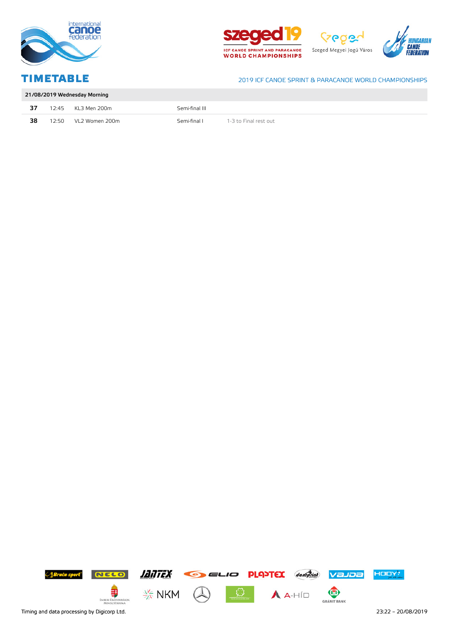







|    | 21/08/2019 Wednesday Morning |                    |                |                       |  |
|----|------------------------------|--------------------|----------------|-----------------------|--|
| 37 |                              | 12:45 KL3 Men 200m | Semi-final III |                       |  |
| 38 | 12:50                        | VL2 Women 200m     | Semi-final I   | 1-3 to Final rest out |  |

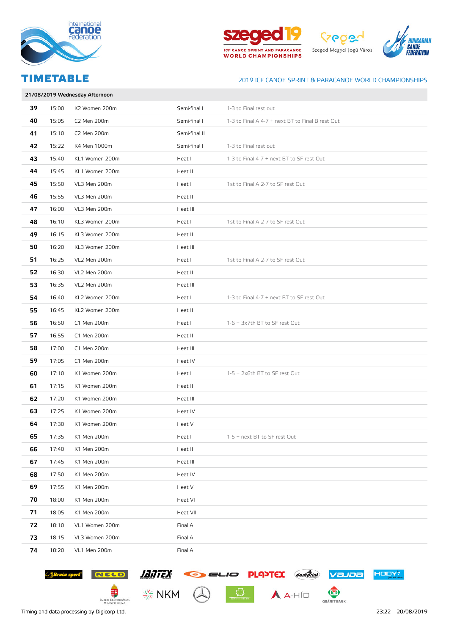







|    | 21/08/2019 Wednesday Afternoon |                |               |                                                  |  |  |
|----|--------------------------------|----------------|---------------|--------------------------------------------------|--|--|
| 39 | 15:00                          | K2 Women 200m  | Semi-final I  | 1-3 to Final rest out                            |  |  |
| 40 | 15:05                          | C2 Men 200m    | Semi-final I  | 1-3 to Final A 4-7 + next BT to Final B rest Out |  |  |
| 41 | 15:10                          | C2 Men 200m    | Semi-final II |                                                  |  |  |
| 42 | 15:22                          | K4 Men 1000m   | Semi-final I  | 1-3 to Final rest out                            |  |  |
| 43 | 15:40                          | KL1 Women 200m | Heat I        | 1-3 to Final 4-7 + next BT to SF rest Out        |  |  |
| 44 | 15:45                          | KL1 Women 200m | Heat II       |                                                  |  |  |
| 45 | 15:50                          | VL3 Men 200m   | Heat I        | 1st to Final A 2-7 to SF rest Out                |  |  |
| 46 | 15:55                          | VL3 Men 200m   | Heat II       |                                                  |  |  |
| 47 | 16:00                          | VL3 Men 200m   | Heat III      |                                                  |  |  |
| 48 | 16:10                          | KL3 Women 200m | Heat I        | 1st to Final A 2-7 to SF rest Out                |  |  |
| 49 | 16:15                          | KL3 Women 200m | Heat II       |                                                  |  |  |
| 50 | 16:20                          | KL3 Women 200m | Heat III      |                                                  |  |  |
| 51 | 16:25                          | VL2 Men 200m   | Heat I        | 1st to Final A 2-7 to SF rest Out                |  |  |
| 52 | 16:30                          | VL2 Men 200m   | Heat II       |                                                  |  |  |
| 53 | 16:35                          | VL2 Men 200m   | Heat III      |                                                  |  |  |
| 54 | 16:40                          | KL2 Women 200m | Heat I        | 1-3 to Final 4-7 + next BT to SF rest Out        |  |  |
| 55 | 16:45                          | KL2 Women 200m | Heat II       |                                                  |  |  |
| 56 | 16:50                          | C1 Men 200m    | Heat I        | 1-6 + 3x7th BT to SF rest Out                    |  |  |
| 57 | 16:55                          | C1 Men 200m    | Heat II       |                                                  |  |  |
| 58 | 17:00                          | C1 Men 200m    | Heat III      |                                                  |  |  |
| 59 | 17:05                          | C1 Men 200m    | Heat IV       |                                                  |  |  |
| 60 | 17:10                          | K1 Women 200m  | Heat I        | 1-5 + 2x6th BT to SF rest Out                    |  |  |
| 61 | 17:15                          | K1 Women 200m  | Heat II       |                                                  |  |  |
| 62 | 17:20                          | K1 Women 200m  | Heat III      |                                                  |  |  |
| 63 | 17:25                          | K1 Women 200m  | Heat IV       |                                                  |  |  |
| 64 | 17:30                          | K1 Women 200m  | Heat V        |                                                  |  |  |
| 65 | 17:35                          | K1 Men 200m    | Heat I        | 1-5 + next BT to SF rest Out                     |  |  |
| 66 | 17:40                          | K1 Men 200m    | Heat II       |                                                  |  |  |
| 67 | 17:45                          | K1 Men 200m    | Heat III      |                                                  |  |  |
| 68 | 17:50                          | K1 Men 200m    | Heat IV       |                                                  |  |  |
| 69 | 17:55                          | K1 Men 200m    | Heat V        |                                                  |  |  |
| 70 | 18:00                          | K1 Men 200m    | Heat VI       |                                                  |  |  |
| 71 | 18:05                          | K1 Men 200m    | Heat VII      |                                                  |  |  |
| 72 | 18:10                          | VL1 Women 200m | Final A       |                                                  |  |  |
| 73 | 18:15                          | VL3 Women 200m | Final A       |                                                  |  |  |
| 74 | 18:20                          | VL1 Men 200m   | Final A       |                                                  |  |  |

 $\begin{array}{|c|c|c|c|}\n\hline\n\textbf{0} & \textbf{0} & \textbf{0}\n\end{array}$ 





€

EMBERI ERŐFORRÁSOK<br>MINISZTÉRIUMA



 $\frac{1}{2}$  NKM

Timing and data processing by Digicorp Ltd. 23:22 – 20/08/2019

HODY!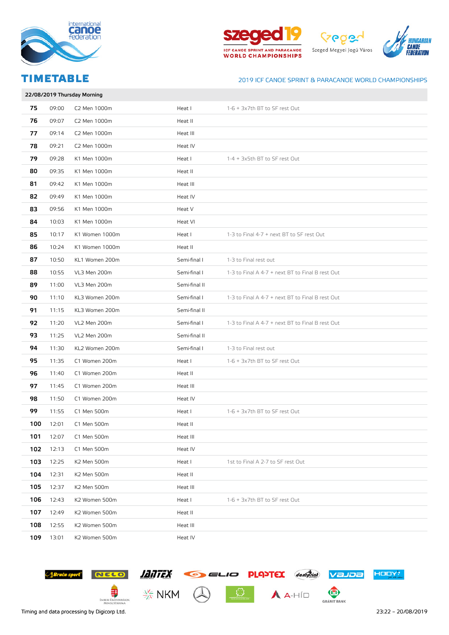







|     | 22/08/2019 Thursday Morning |                |               |                                                  |  |
|-----|-----------------------------|----------------|---------------|--------------------------------------------------|--|
| 75  | 09:00                       | C2 Men 1000m   | Heat I        | 1-6 + 3x7th BT to SF rest Out                    |  |
| 76  | 09:07                       | C2 Men 1000m   | Heat II       |                                                  |  |
| 77  | 09:14                       | C2 Men 1000m   | Heat III      |                                                  |  |
| 78  | 09:21                       | C2 Men 1000m   | Heat IV       |                                                  |  |
| 79  | 09:28                       | K1 Men 1000m   | Heat I        | 1-4 + 3x5th BT to SF rest Out                    |  |
| 80  | 09:35                       | K1 Men 1000m   | Heat II       |                                                  |  |
| 81  | 09:42                       | K1 Men 1000m   | Heat III      |                                                  |  |
| 82  | 09:49                       | K1 Men 1000m   | Heat IV       |                                                  |  |
| 83  | 09:56                       | K1 Men 1000m   | Heat V        |                                                  |  |
| 84  | 10:03                       | K1 Men 1000m   | Heat VI       |                                                  |  |
| 85  | 10:17                       | K1 Women 1000m | Heat I        | 1-3 to Final 4-7 + next BT to SF rest Out        |  |
| 86  | 10:24                       | K1 Women 1000m | Heat II       |                                                  |  |
| 87  | 10:50                       | KL1 Women 200m | Semi-final I  | 1-3 to Final rest out                            |  |
| 88  | 10:55                       | VL3 Men 200m   | Semi-final I  | 1-3 to Final A 4-7 + next BT to Final B rest Out |  |
| 89  | 11:00                       | VL3 Men 200m   | Semi-final II |                                                  |  |
| 90  | 11:10                       | KL3 Women 200m | Semi-final I  | 1-3 to Final A 4-7 + next BT to Final B rest Out |  |
| 91  | 11:15                       | KL3 Women 200m | Semi-final II |                                                  |  |
| 92  | 11:20                       | VL2 Men 200m   | Semi-final I  | 1-3 to Final A 4-7 + next BT to Final B rest Out |  |
| 93  | 11:25                       | VL2 Men 200m   | Semi-final II |                                                  |  |
| 94  | 11:30                       | KL2 Women 200m | Semi-final I  | 1-3 to Final rest out                            |  |
| 95  | 11:35                       | C1 Women 200m  | Heat I        | 1-6 + 3x7th BT to SF rest Out                    |  |
| 96  | 11:40                       | C1 Women 200m  | Heat II       |                                                  |  |
| 97  | 11:45                       | C1 Women 200m  | Heat III      |                                                  |  |
| 98  | 11:50                       | C1 Women 200m  | Heat IV       |                                                  |  |
| 99  | 11:55                       | C1 Men 500m    | Heat I        | 1-6 + 3x7th BT to SF rest Out                    |  |
| 100 | 12:01                       | C1 Men 500m    | Heat II       |                                                  |  |
| 101 | 12:07                       | C1 Men 500m    | Heat III      |                                                  |  |
| 102 | 12:13                       | C1 Men 500m    | Heat IV       |                                                  |  |
| 103 | 12:25                       | K2 Men 500m    | Heat I        | 1st to Final A 2-7 to SF rest Out                |  |
| 104 | 12:31                       | K2 Men 500m    | Heat II       |                                                  |  |
| 105 | 12:37                       | K2 Men 500m    | Heat III      |                                                  |  |
| 106 | 12:43                       | K2 Women 500m  | Heat I        | 1-6 + 3x7th BT to SF rest Out                    |  |
| 107 | 12:49                       | K2 Women 500m  | Heat II       |                                                  |  |
| 108 | 12:55                       | K2 Women 500m  | Heat III      |                                                  |  |
| 109 | 13:01                       | K2 Women 500m  | Heat IV       |                                                  |  |

 $\frac{1}{\sqrt{2}}$   $A$   $A$ -HÍD





€

EMBERI ERŐFORRÁSOK<br>MINISZTÉRIUMA



Timing and data processing by Digicorp Ltd. 23:22 – 20/08/2019

HODY!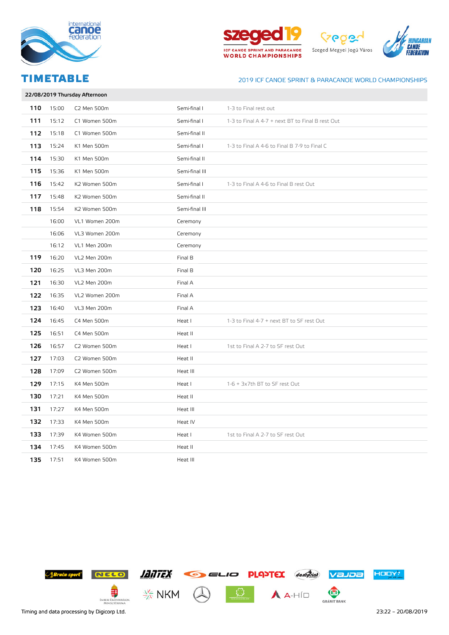







# 22/08/2019 Thursday Afternoon 110 15:00 C2 Men 500m Semi-final I 1-3 to Final rest out 111 15:12 C1 Women 500m Semi-final I 1-3 to Final A 4-7 + next BT to Final B rest Out 112 15:18 C1 Women 500m Semi-final II 113 15:24 K1 Men 500m Semi-final I 1-3 to Final A 4-6 to Final B 7-9 to Final C 114 15:30 K1 Men 500m Semi-final II 115 15:36 K1 Men 500m Semi-final III 116 15:42 K2 Women 500m Semi-final I 1-3 to Final A 4-6 to Final B rest Out 117 15:48 K2 Women 500m Semi-final II 118 15:54 K2 Women 500m Semi-final III 16:00 VL1 Women 200m Ceremony 16:06 VL3 Women 200m Ceremony 16:12 VL1 Men 200m Ceremony 119 16:20 VL2 Men 200m **Final B** 120 16:25 VL3 Men 200m **Final B** 121 16:30 VL2 Men 200m Final A 122 16:35 VL2 Women 200m Final A 123 16:40 VL3 Men 200m 124 16:45 C4 Men 500m Heat I 1-3 to Final 4-7 + next BT to SF rest Out 125 16:51 C4 Men 500m and the Heat II 126 16:57 C2 Women 500m Heat I 1st to Final A 2-7 to SF rest Out **127** 17:03 C2 Women 500m **Heat II** 128 17:09 C2 Women 500m **Heat III** 129 17:15 K4 Men 500m Heat I 1-6 + 3x7th BT to SF rest Out 130 17:21 K4 Men 500m 130 Heat II 131 17:27 K4 Men 500m Heat III 132 17:33 K4 Men 500m **Heat IV** 133 17:39 K4 Women 500m Heat I 1st to Final A 2-7 to SF rest Out 134 17:45 K4 Women 500m **Heat II** 135 17:51 K4 Women 500m **Heat III**

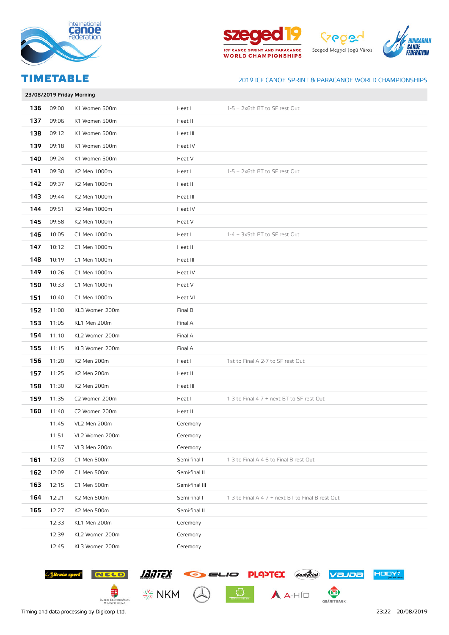







|     |       | 23/08/2019 Friday Morning |                |                                                  |
|-----|-------|---------------------------|----------------|--------------------------------------------------|
| 136 | 09:00 | K1 Women 500m             | Heat I         | 1-5 + 2x6th BT to SF rest Out                    |
| 137 | 09:06 | K1 Women 500m             | Heat II        |                                                  |
| 138 | 09:12 | K1 Women 500m             | Heat III       |                                                  |
| 139 | 09:18 | K1 Women 500m             | Heat IV        |                                                  |
| 140 | 09:24 | K1 Women 500m             | Heat V         |                                                  |
| 141 | 09:30 | K2 Men 1000m              | Heat I         | 1-5 + 2x6th BT to SF rest Out                    |
| 142 | 09:37 | K2 Men 1000m              | Heat II        |                                                  |
| 143 | 09:44 | K2 Men 1000m              | Heat III       |                                                  |
| 144 | 09:51 | K2 Men 1000m              | Heat IV        |                                                  |
| 145 | 09:58 | K2 Men 1000m              | Heat V         |                                                  |
| 146 | 10:05 | C1 Men 1000m              | Heat I         | 1-4 + 3x5th BT to SF rest Out                    |
| 147 | 10:12 | C1 Men 1000m              | Heat II        |                                                  |
| 148 | 10:19 | C1 Men 1000m              | Heat III       |                                                  |
| 149 | 10:26 | C1 Men 1000m              | Heat IV        |                                                  |
| 150 | 10:33 | C1 Men 1000m              | Heat V         |                                                  |
| 151 | 10:40 | C1 Men 1000m              | Heat VI        |                                                  |
| 152 | 11:00 | KL3 Women 200m            | Final B        |                                                  |
| 153 | 11:05 | KL1 Men 200m              | Final A        |                                                  |
| 154 | 11:10 | KL2 Women 200m            | Final A        |                                                  |
| 155 | 11:15 | KL3 Women 200m            | Final A        |                                                  |
| 156 | 11:20 | K2 Men 200m               | Heat I         | 1st to Final A 2-7 to SF rest Out                |
| 157 | 11:25 | K2 Men 200m               | Heat II        |                                                  |
| 158 | 11:30 | K2 Men 200m               | Heat III       |                                                  |
| 159 | 11:35 | C2 Women 200m             | Heat I         | 1-3 to Final 4-7 + next BT to SF rest Out        |
| 160 | 11:40 | C2 Women 200m             | Heat II        |                                                  |
|     | 11:45 | VL2 Men 200m              | Ceremony       |                                                  |
|     | 11:51 | VL2 Women 200m            | Ceremony       |                                                  |
|     | 11:57 | VL3 Men 200m              | Ceremony       |                                                  |
| 161 | 12:03 | C1 Men 500m               | Semi-final I   | 1-3 to Final A 4-6 to Final B rest Out           |
| 162 | 12:09 | C1 Men 500m               | Semi-final II  |                                                  |
| 163 | 12:15 | C1 Men 500m               | Semi-final III |                                                  |
| 164 | 12:21 | K2 Men 500m               | Semi-final I   | 1-3 to Final A 4-7 + next BT to Final B rest Out |
| 165 | 12:27 | K2 Men 500m               | Semi-final II  |                                                  |
|     | 12:33 | KL1 Men 200m              | Ceremony       |                                                  |
|     | 12:39 | KL2 Women 200m            | Ceremony       |                                                  |
|     | 12:45 | KL3 Women 200m            | Ceremony       |                                                  |

 $\frac{1}{\sqrt{2}}$   $A$ -HÍD





Strict sport NELO ANTEX GELIO PLAYEX don'atial Value

€

EMBERI ERŐFORRÁSOK<br>MINISZTÉRIUMA

 $\frac{1}{2\sqrt{2}}$  NKM

Timing and data processing by Digicorp Ltd. 23:22 – 20/08/2019

HODY!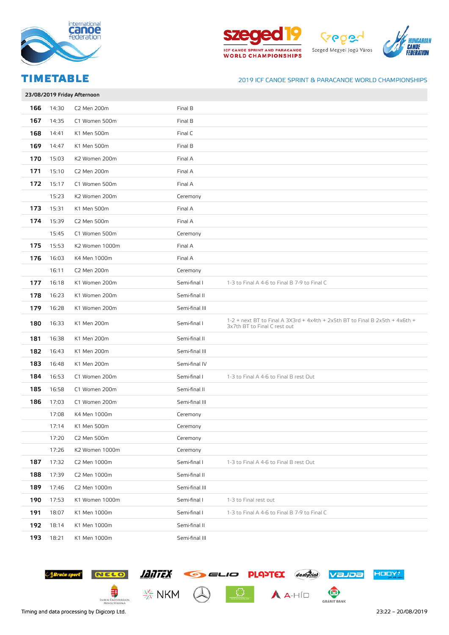







|     |       | 23/08/2019 Friday Afternoon |                |                                                                                                                |
|-----|-------|-----------------------------|----------------|----------------------------------------------------------------------------------------------------------------|
| 166 | 14:30 | C2 Men 200m                 | Final B        |                                                                                                                |
| 167 | 14:35 | C1 Women 500m               | Final B        |                                                                                                                |
| 168 | 14:41 | K1 Men 500m                 | Final C        |                                                                                                                |
| 169 | 14:47 | K1 Men 500m                 | Final B        |                                                                                                                |
| 170 | 15:03 | K2 Women 200m               | Final A        |                                                                                                                |
| 171 | 15:10 | C2 Men 200m                 | Final A        |                                                                                                                |
| 172 | 15:17 | C1 Women 500m               | Final A        |                                                                                                                |
|     | 15:23 | K2 Women 200m               | Ceremony       |                                                                                                                |
| 173 | 15:31 | K1 Men 500m                 | Final A        |                                                                                                                |
| 174 | 15:39 | C2 Men 500m                 | Final A        |                                                                                                                |
|     | 15:45 | C1 Women 500m               | Ceremony       |                                                                                                                |
| 175 | 15:53 | K2 Women 1000m              | Final A        |                                                                                                                |
| 176 | 16:03 | K4 Men 1000m                | Final A        |                                                                                                                |
|     | 16:11 | C2 Men 200m                 | Ceremony       |                                                                                                                |
| 177 | 16:18 | K1 Women 200m               | Semi-final I   | 1-3 to Final A 4-6 to Final B 7-9 to Final C                                                                   |
| 178 | 16:23 | K1 Women 200m               | Semi-final II  |                                                                                                                |
| 179 | 16:28 | K1 Women 200m               | Semi-final III |                                                                                                                |
| 180 | 16:33 | K1 Men 200m                 | Semi-final I   | $1-2$ + next BT to Final A 3X3rd + 4x4th + 2x5th BT to Final B 2x5th + 4x6th +<br>3x7th BT to Final C rest out |
| 181 | 16:38 | K1 Men 200m                 | Semi-final II  |                                                                                                                |
| 182 | 16:43 | K1 Men 200m                 | Semi-final III |                                                                                                                |
| 183 | 16:48 | K1 Men 200m                 | Semi-final IV  |                                                                                                                |
| 184 | 16:53 | C1 Women 200m               | Semi-final I   | 1-3 to Final A 4-6 to Final B rest Out                                                                         |
| 185 | 16:58 | C1 Women 200m               | Semi-final II  |                                                                                                                |
| 186 | 17:03 | C1 Women 200m               | Semi-final III |                                                                                                                |
|     | 17:08 | K4 Men 1000m                | Ceremony       |                                                                                                                |
|     | 17:14 | K1 Men 500m                 | Ceremony       |                                                                                                                |
|     | 17:20 | C2 Men 500m                 | Ceremony       |                                                                                                                |
|     | 17:26 | K2 Women 1000m              | Ceremony       |                                                                                                                |
| 187 | 17:32 | C2 Men 1000m                | Semi-final I   | 1-3 to Final A 4-6 to Final B rest Out                                                                         |
| 188 | 17:39 | C2 Men 1000m                | Semi-final II  |                                                                                                                |
| 189 | 17:46 | C2 Men 1000m                | Semi-final III |                                                                                                                |
| 190 | 17:53 | K1 Women 1000m              | Semi-final I   | 1-3 to Final rest out                                                                                          |
| 191 | 18:07 | K1 Men 1000m                | Semi-final I   | 1-3 to Final A 4-6 to Final B 7-9 to Final C                                                                   |
| 192 | 18:14 | K1 Men 1000m                | Semi-final II  |                                                                                                                |
| 193 | 18:21 | K1 Men 1000m                | Semi-final III |                                                                                                                |

Strict sport NELO ANTEX GELIO PLAYEX don'atial Value

 $\boxed{\text{O}}$   $\boxed{\text{A}$   $\rightarrow$   $\text{HID}}$ 



€ EMBERI ERŐFORRÁSOK<br>MINISZTÉRIUMA  $\frac{\sqrt{2}}{\sqrt{2}}$  NKM



HODY!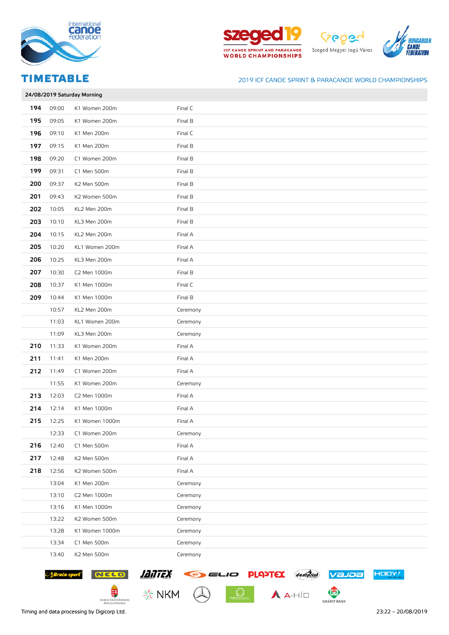







|     | 24/08/2019 Saturday Morning |                |          |  |  |  |
|-----|-----------------------------|----------------|----------|--|--|--|
| 194 | 09:00                       | K1 Women 200m  | Final C  |  |  |  |
| 195 | 09:05                       | K1 Women 200m  | Final B  |  |  |  |
| 196 | 09:10                       | K1 Men 200m    | Final C  |  |  |  |
| 197 | 09:15                       | K1 Men 200m    | Final B  |  |  |  |
| 198 | 09:20                       | C1 Women 200m  | Final B  |  |  |  |
| 199 | 09:31                       | C1 Men 500m    | Final B  |  |  |  |
| 200 | 09:37                       | K2 Men 500m    | Final B  |  |  |  |
| 201 | 09:43                       | K2 Women 500m  | Final B  |  |  |  |
| 202 | 10:05                       | KL2 Men 200m   | Final B  |  |  |  |
| 203 | 10:10                       | KL3 Men 200m   | Final B  |  |  |  |
| 204 | 10:15                       | KL2 Men 200m   | Final A  |  |  |  |
| 205 | 10:20                       | KL1 Women 200m | Final A  |  |  |  |
| 206 | 10:25                       | KL3 Men 200m   | Final A  |  |  |  |
| 207 | 10:30                       | C2 Men 1000m   | Final B  |  |  |  |
| 208 | 10:37                       | K1 Men 1000m   | Final C  |  |  |  |
| 209 | 10:44                       | K1 Men 1000m   | Final B  |  |  |  |
|     | 10:57                       | KL2 Men 200m   | Ceremony |  |  |  |
|     | 11:03                       | KL1 Women 200m | Ceremony |  |  |  |
|     | 11:09                       | KL3 Men 200m   | Ceremony |  |  |  |
| 210 | 11:33                       | K1 Women 200m  | Final A  |  |  |  |
| 211 | 11:41                       | K1 Men 200m    | Final A  |  |  |  |
| 212 | 11:49                       | C1 Women 200m  | Final A  |  |  |  |
|     | 11:55                       | K1 Women 200m  | Ceremony |  |  |  |
| 213 | 12:03                       | C2 Men 1000m   | Final A  |  |  |  |
| 214 | 12:14                       | K1 Men 1000m   | Final A  |  |  |  |
| 215 | 12:25                       | K1 Women 1000m | Final A  |  |  |  |
|     | 12:33                       | C1 Women 200m  | Ceremony |  |  |  |
| 216 | 12:40                       | C1 Men 500m    | Final A  |  |  |  |
| 217 | 12:48                       | K2 Men 500m    | Final A  |  |  |  |
| 218 | 12:56                       | K2 Women 500m  | Final A  |  |  |  |
|     | 13:04                       | K1 Men 200m    | Ceremony |  |  |  |
|     | 13:10                       | C2 Men 1000m   | Ceremony |  |  |  |
|     | 13:16                       | K1 Men 1000m   | Ceremony |  |  |  |
|     | 13:22                       | K2 Women 500m  | Ceremony |  |  |  |
|     | 13:28                       | K1 Women 1000m | Ceremony |  |  |  |
|     | 13:34                       | C1 Men 500m    | Ceremony |  |  |  |
|     | 13:40                       | K2 Men 500m    | Ceremony |  |  |  |

 $\boxed{\text{O}}$   $\boxed{\text{A}$   $\rightarrow$   $\text{HID}}$ 





€

EMBERI ERŐFORRÁSOK<br>MINISZTÉRIUMA



 $\frac{\sqrt{2}}{\sqrt{2}}$  NKM

Timing and data processing by Digicorp Ltd. 23:22 – 20/08/2019

HODY!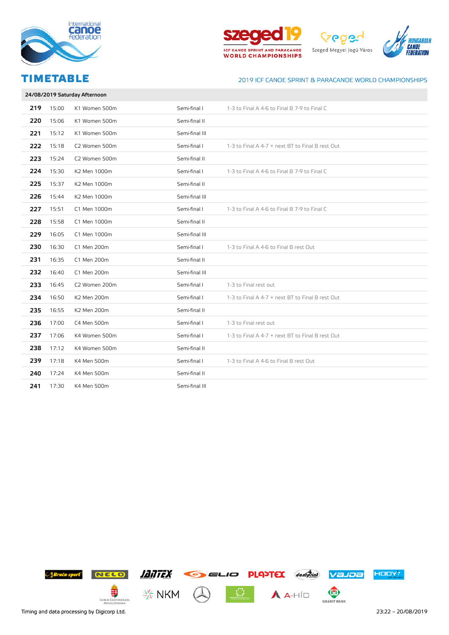







# 24/08/2019 Saturday Afternoon 219 15:00 K1 Women 500m Semi-final I 1-3 to Final A 4-6 to Final B 7-9 to Final C 220 15:06 K1 Women 500m Semi-final II 221 15:12 K1 Women 500m Semi-final III 222 15:18 C2 Women 500m Semi-final I 1-3 to Final A 4-7 + next BT to Final B rest Out 223 15:24 C2 Women 500m Semi-final II 224 15:30 K2 Men 1000m Semi-final I 1-3 to Final A 4-6 to Final B 7-9 to Final C 225 15:37 K2 Men 1000m Semi-final II 226 15:44 K2 Men 1000m Semi-final III 227 15:51 C1 Men 1000m Semi-final I 1-3 to Final A 4-6 to Final B 7-9 to Final C **228** 15:58 C1 Men 1000m Semi-final II 229 16:05 C1 Men 1000m Semi-final III 230 16:30 C1 Men 200m Semi-final I 1-3 to Final A 4-6 to Final B rest Out 231 16:35 C1 Men 200m Semi-final II **232** 16:40 C1 Men 200m Semi-final III 233 16:45 C2 Women 200m Semi-final I 1-3 to Final rest out 234 16:50 K2 Men 200m Semi-final I 1-3 to Final A 4-7 + next BT to Final B rest Out **235** 16:55 K2 Men 200m Semi-final II 236 17:00 C4 Men 500m Semi-final I 1-3 to Final rest out 237 17:06 K4 Women 500m Semi-final 1-3 to Final A 4-7 + next BT to Final B rest Out 238 17:12 K4 Women 500m Semi-final II 239 17:18 K4 Men 500m Semi-final I 1-3 to Final A 4-6 to Final B rest Out **240** 17:24 K4 Men 500m Semi-final II

**241** 17:30 K4 Men 500m Semi-final III

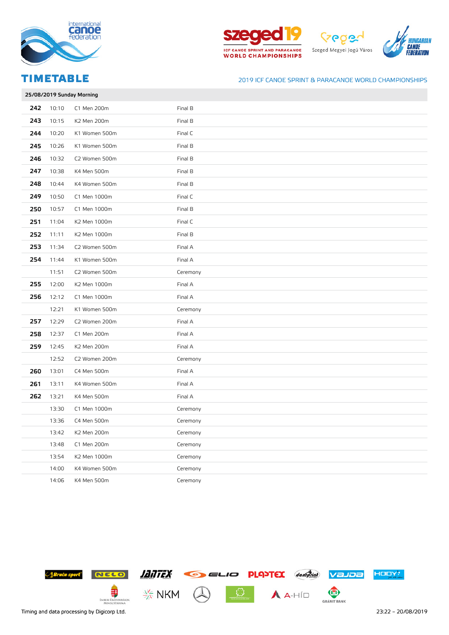







|     | 25/08/2019 Sunday Morning |               |          |  |  |
|-----|---------------------------|---------------|----------|--|--|
| 242 | 10:10                     | C1 Men 200m   | Final B  |  |  |
| 243 | 10:15                     | K2 Men 200m   | Final B  |  |  |
| 244 | 10:20                     | K1 Women 500m | Final C  |  |  |
| 245 | 10:26                     | K1 Women 500m | Final B  |  |  |
| 246 | 10:32                     | C2 Women 500m | Final B  |  |  |
| 247 | 10:38                     | K4 Men 500m   | Final B  |  |  |
| 248 | 10:44                     | K4 Women 500m | Final B  |  |  |
| 249 | 10:50                     | C1 Men 1000m  | Final C  |  |  |
| 250 | 10:57                     | C1 Men 1000m  | Final B  |  |  |
| 251 | 11:04                     | K2 Men 1000m  | Final C  |  |  |
| 252 | 11:11                     | K2 Men 1000m  | Final B  |  |  |
| 253 | 11:34                     | C2 Women 500m | Final A  |  |  |
| 254 | 11:44                     | K1 Women 500m | Final A  |  |  |
|     | 11:51                     | C2 Women 500m | Ceremony |  |  |
| 255 | 12:00                     | K2 Men 1000m  | Final A  |  |  |
| 256 | 12:12                     | C1 Men 1000m  | Final A  |  |  |
|     | 12:21                     | K1 Women 500m | Ceremony |  |  |
| 257 | 12:29                     | C2 Women 200m | Final A  |  |  |
| 258 | 12:37                     | C1 Men 200m   | Final A  |  |  |
| 259 | 12:45                     | K2 Men 200m   | Final A  |  |  |
|     | 12:52                     | C2 Women 200m | Ceremony |  |  |
| 260 | 13:01                     | C4 Men 500m   | Final A  |  |  |
| 261 | 13:11                     | K4 Women 500m | Final A  |  |  |
| 262 | 13:21                     | K4 Men 500m   | Final A  |  |  |
|     | 13:30                     | C1 Men 1000m  | Ceremony |  |  |
|     | 13:36                     | C4 Men 500m   | Ceremony |  |  |
|     | 13:42                     | K2 Men 200m   | Ceremony |  |  |
|     | 13:48                     | C1 Men 200m   | Ceremony |  |  |
|     | 13:54                     | K2 Men 1000m  | Ceremony |  |  |
|     | 14:00                     | K4 Women 500m | Ceremony |  |  |
|     | 14:06                     | K4 Men 500m   | Ceremony |  |  |